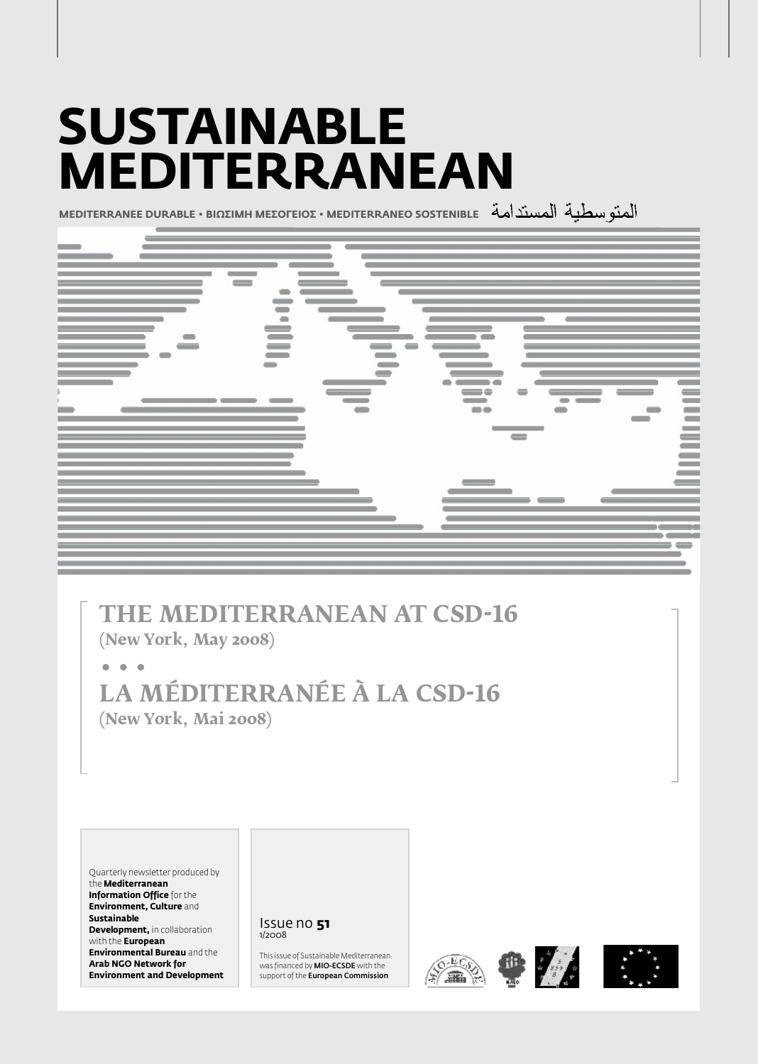# **Sustainable Mediterranean**

**MEDITERRANEE DURABLE • BIΩΣIMH MEΣOΓEIOΣ • MEDITERRANEO SOSTENIBLE**



# **The Mediterranean at CSD-16**

**(New York, May 2008)**

**• • • La Méditerranée à la CSD-16 (New York, Mai 2008)**

Quarterly newsletter produced by the **Mediterranean Information Office** for the **Environment, Culture** and **Sustainable Development, in collaboration** with the **European Environmental Bureau** and the **Arab NGO Network for Environment and Development**

#### Issue no **51** 1/2008

This issue of Sustainable Mediterranean was financed by MIO-ECSDE with the support of the **European Commission** 







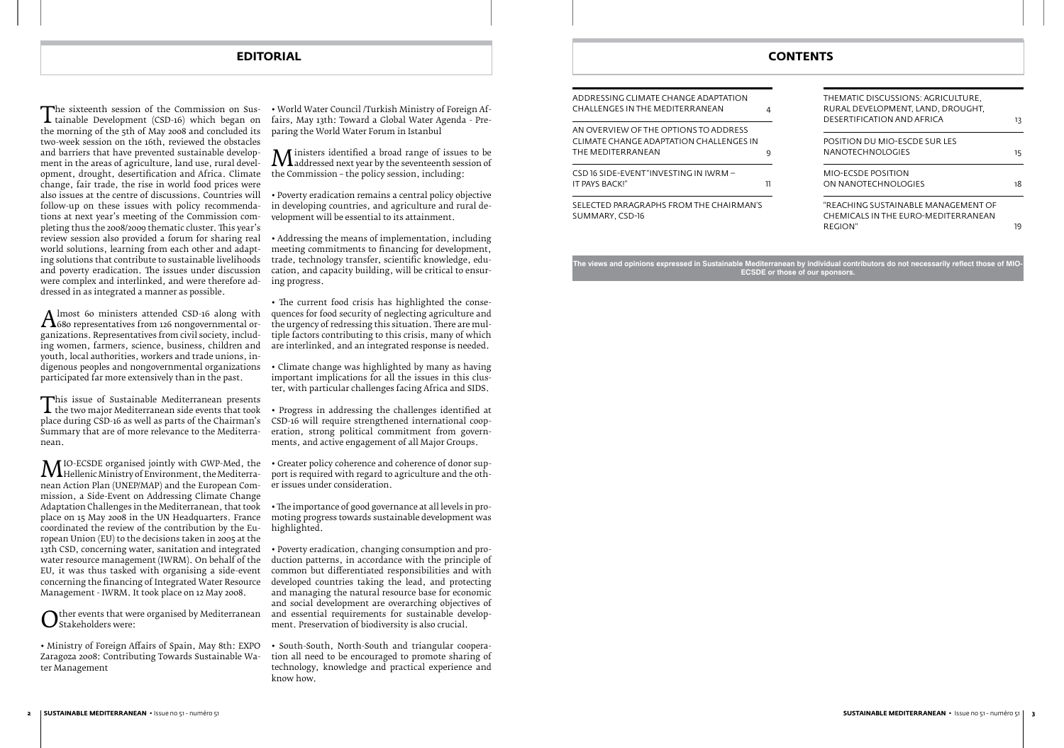The sixteenth session of the Commission on Sus-<br>tainable Development (CSD-16) which began on<br>the morning of the 5th of May 2008 and concluded its  $\blacktriangle$  tainable Development (CSD-16) which began on two-week session on the 16th, reviewed the obstacles and barriers that have prevented sustainable development in the areas of agriculture, land use, rural development, drought, desertification and Africa. Climate change, fair trade, the rise in world food prices were also issues at the centre of discussions. Countries will follow-up on these issues with policy recommendations at next year's meeting of the Commission completing thus the 2008/2009 thematic cluster. This year's review session also provided a forum for sharing real world solutions, learning from each other and adapting solutions that contribute to sustainable livelihoods and poverty eradication. The issues under discussion were complex and interlinked, and were therefore addressed in as integrated a manner as possible.

A miost 60 ministers attended CSD-16 along with<br>ganizations. Representatives from 126 nongovernmental or-<br>ganizations. Representatives from civil society, includ-680 representatives from 126 nongovernmental organizations. Representatives from civil society, including women, farmers, science, business, children and youth, local authorities, workers and trade unions, indigenous peoples and nongovernmental organizations participated far more extensively than in the past.

This issue of Sustainable Mediterranean presents<br>the two major Mediterranean side events that took<br>place during CSD-16 as well as parts of the Chairman's the two major Mediterranean side events that took place during CSD-16 as well as parts of the Chairman's Summary that are of more relevance to the Mediterranean.

**MI**O-ECSDE organised jointly with GWP-Med, the<br>nean Action Plan (UNEP/MAP) and the European Com-Hellenic Ministry of Environment, the Mediterranean Action Plan (UNEP/MAP) and the European Commission, a Side-Event on Addressing Climate Change Adaptation Challenges in the Mediterranean, that took place on 15 May 2008 in the UN Headquarters. France coordinated the review of the contribution by the European Union (EU) to the decisions taken in 2005 at the 13th CSD, concerning water, sanitation and integrated water resource management (IWRM). On behalf of the EU, it was thus tasked with organising a side-event concerning the financing of Integrated Water Resource Management - IWRM. It took place on 12 May 2008.

Other events that were organised by Mediterranean<br>Ostakeholders were: Stakeholders were:

**M** insters identified a broad range of issues to be<br>the Commission – the policy session, including: addressed next year by the seventeenth session of the Commission – the policy session, including:

AN OVERVIEW OF THE OPTIONS TO ADDRESS CLIMATE CHANGE ADAPTATION CHALLENGES IN THE MEDITERRANEAN 9

• Ministry of Foreign Affairs of Spain, May 8th: EXPO Zaragoza 2008: Contributing Towards Sustainable Water Management

CSD 16 SIDE-EVENT "INVESTING IN IWRM – IT PAYS BACK!" 2002 11

| THEMATIC DISCUSSIONS: AGRICULTURE,<br>RURAL DEVELOPMENT. LAND. DROUGHT. |    |
|-------------------------------------------------------------------------|----|
| DESERTIFICATION AND AFRICA                                              | 13 |
| POSITION DU MIO-ESCDE SUR LES                                           |    |
| NANOTECHNOLOGIES                                                        | 15 |
| MIO-FCSDE POSITION                                                      |    |
| ON NANOTECHNOLOGIES                                                     | 18 |
| "REACHING SUSTAINABI E MANAGEMENT OF                                    |    |
| CHEMICALS IN THE FURO-MEDITERRANEAN<br>REGION"                          | 19 |
|                                                                         |    |
|                                                                         |    |

• World Water Council /Turkish Ministry of Foreign Affairs, May 13th: Toward a Global Water Agenda - Preparing the World Water Forum in Istanbul

• Poverty eradication remains a central policy objective in developing countries, and agriculture and rural development will be essential to its attainment.

• Addressing the means of implementation, including meeting commitments to financing for development, trade, technology transfer, scientific knowledge, education, and capacity building, will be critical to ensuring progress.

• The current food crisis has highlighted the consequences for food security of neglecting agriculture and the urgency of redressing this situation. There are multiple factors contributing to this crisis, many of which are interlinked, and an integrated response is needed.

• Climate change was highlighted by many as having important implications for all the issues in this cluster, with particular challenges facing Africa and SIDS.

- Progress in addressing the challenges identified at CSD-16 will require strengthened international cooperation, strong political commitment from governments, and active engagement of all Major Groups.
- Greater policy coherence and coherence of donor support is required with regard to agriculture and the other issues under consideration.

• The importance of good governance at all levels in promoting progress towards sustainable development was highlighted.

• Poverty eradication, changing consumption and production patterns, in accordance with the principle of common but differentiated responsibilities and with developed countries taking the lead, and protecting and managing the natural resource base for economic and social development are overarching objectives of and essential requirements for sustainable development. Preservation of biodiversity is also crucial.

• South-South, North-South and triangular cooperation all need to be encouraged to promote sharing of technology, knowledge and practical experience and know how.

ADDRESSING CLIMATE CHANGE ADAPTATION CHALLENGES IN THE MEDITERRANEAN 4

SELECTED PARAGRAPHS FROM THE CHAIRMAN'S SUMMARY, CSD-16

**The views and opinions expressed in Sustainable Mediterranean by individual contributors do not necessarily reflect those of MIO-ECSDE or those of our sponsors.**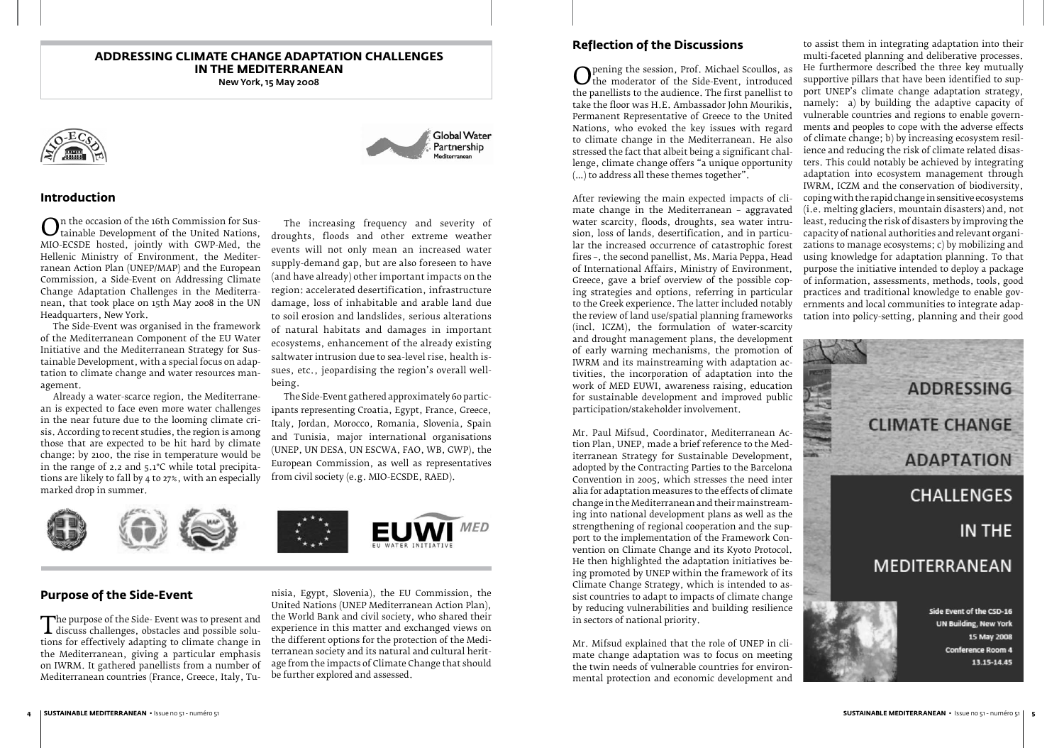

(incl. ICZM), the formulation of water-scarcity and drought management plans, the development of early warning mechanisms, the promotion of IWRM and its mainstreaming with adaptation activities, the incorporation of adaptation into the work of MED EUWI, awareness raising, education for sustainable development and improved public participation/stakeholder involvement.

**Reflection of the Discussions** Opening the session, Prof. Michael Scoullos, as<br>the moderator of the Side-Event, introduced<br>the panellists to the audience. The first panellist to the moderator of the Side-Event, introduced the panellists to the audience. The first panellist to take the floor was H.E. Ambassador John Mourikis, Permanent Representative of Greece to the United Nations, who evoked the key issues with regard to climate change in the Mediterranean. He also stressed the fact that albeit being a significant challenge, climate change offers "a unique opportunity (…) to address all these themes together". After reviewing the main expected impacts of climate change in the Mediterranean – aggravated water scarcity, floods, droughts, sea water intrusion, loss of lands, desertification, and in particular the increased occurrence of catastrophic forest fires –, the second panellist, Ms. Maria Peppa, Head of International Affairs, Ministry of Environment, Greece, gave a brief overview of the possible coping strategies and options, referring in particular to the Greek experience. The latter included notably the review of land use/spatial planning frameworks to assist them in integrating adaptation into their multi-faceted planning and deliberative processes. He furthermore described the three key mutually supportive pillars that have been identified to support UNEP's climate change adaptation strategy, namely: a) by building the adaptive capacity of vulnerable countries and regions to enable governments and peoples to cope with the adverse effects of climate change; b) by increasing ecosystem resilience and reducing the risk of climate related disasters. This could notably be achieved by integrating adaptation into ecosystem management through IWRM, ICZM and the conservation of biodiversity, coping with the rapid change in sensitive ecosystems (i.e. melting glaciers, mountain disasters) and, not least, reducing the risk of disasters by improving the capacity of national authorities and relevant organizations to manage ecosystems; c) by mobilizing and using knowledge for adaptation planning. To that purpose the initiative intended to deploy a package of information, assessments, methods, tools, good practices and traditional knowledge to enable governments and local communities to integrate adaptation into policy-setting, planning and their good

Mr. Paul Mifsud, Coordinator, Mediterranean Action Plan, UNEP, made a brief reference to the Mediterranean Strategy for Sustainable Development, adopted by the Contracting Parties to the Barcelona Convention in 2005, which stresses the need inter alia for adaptation measures to the effects of climate change in the Mediterranean and their mainstreaming into national development plans as well as the strengthening of regional cooperation and the support to the implementation of the Framework Convention on Climate Change and its Kyoto Protocol. He then highlighted the adaptation initiatives being promoted by UNEP within the framework of its Climate Change Strategy, which is intended to assist countries to adapt to impacts of climate change by reducing vulnerabilities and building resilience in sectors of national priority.

**O**n the occasion of the 16th Commission for sus-<br>tainable Development of the United Nations,<br>MIO-ECSDE hosted, jointly with GWP-Med, the tainable Development of the United Nations, MIO-ECSDE hosted, jointly with GWP-Med, the Hellenic Ministry of Environment, the Mediterranean Action Plan (UNEP/MAP) and the European Commission, a Side-Event on Addressing Climate Change Adaptation Challenges in the Mediterranean, that took place on 15th May 2008 in the UN Headquarters, New York.

> Mr. Mifsud explained that the role of UNEP in climate change adaptation was to focus on meeting the twin needs of vulnerable countries for environmental protection and economic development and

The purpose of the side- Event was to present and<br>discuss challenges, obstacles and possible solu-<br>tions for effectively adapting to climate change in discuss challenges, obstacles and possible solutions for effectively adapting to climate change in the Mediterranean, giving a particular emphasis on IWRM. It gathered panellists from a number of Mediterranean countries (France, Greece, Italy, Tu-

#### **ADDRESSING CLIMATE CHANGE ADAPTATION CHALLENGES IN THE MEDITERRANEAN**

New York, 15 May 2008



#### **Introduction**

The Side-Event was organised in the framework of the Mediterranean Component of the EU Water Initiative and the Mediterranean Strategy for Sustainable Development, with a special focus on adaptation to climate change and water resources management.

Already a water-scarce region, the Mediterranean is expected to face even more water challenges in the near future due to the looming climate crisis. According to recent studies, the region is among those that are expected to be hit hard by climate change: by 2100, the rise in temperature would be in the range of 2.2 and 5.1°C while total precipitations are likely to fall by 4 to 27%, with an especially marked drop in summer.

The increasing frequency and severity of droughts, floods and other extreme weather events will not only mean an increased water supply-demand gap, but are also foreseen to have (and have already) other important impacts on the region: accelerated desertification, infrastructure damage, loss of inhabitable and arable land due to soil erosion and landslides, serious alterations of natural habitats and damages in important ecosystems, enhancement of the already existing saltwater intrusion due to sea-level rise, health issues, etc., jeopardising the region's overall wellbeing.

**Global Water** Partnership

The Side-Event gathered approximately 60 participants representing Croatia, Egypt, France, Greece, Italy, Jordan, Morocco, Romania, Slovenia, Spain and Tunisia, major international organisations (UNEP, UN DESA, UN ESCWA, FAO, WB, GWP), the European Commission, as well as representatives from civil society (e.g. MIO-ECSDE, RAED).



## **Purpose of the Side-Event**

nisia, Egypt, Slovenia), the EU Commission, the United Nations (UNEP Mediterranean Action Plan), the World Bank and civil society, who shared their experience in this matter and exchanged views on the different options for the protection of the Mediterranean society and its natural and cultural heritage from the impacts of Climate Change that should be further explored and assessed.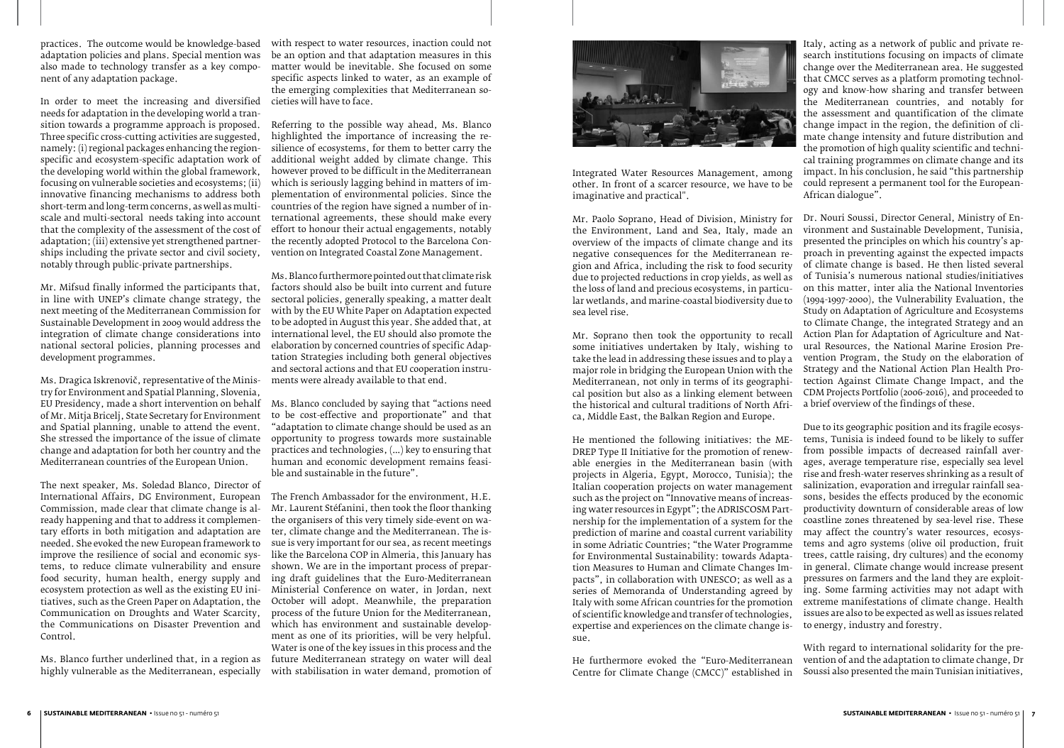Integrated Water Resources Management, among other. In front of a scarcer resource, we have to be imaginative and practical".

ca, Middle East, the Balkan Region and Europe.

Mr. Paolo Soprano, Head of Division, Ministry for the Environment, Land and Sea, Italy, made an overview of the impacts of climate change and its negative consequences for the Mediterranean region and Africa, including the risk to food security due to projected reductions in crop yields, as well as the loss of land and precious ecosystems, in particular wetlands, and marine-coastal biodiversity due to sea level rise. Mr. Soprano then took the opportunity to recall some initiatives undertaken by Italy, wishing to take the lead in addressing these issues and to play a major role in bridging the European Union with the Mediterranean, not only in terms of its geographical position but also as a linking element between the historical and cultural traditions of North Afri-Dr. Nouri Soussi, Director General, Ministry of Environment and Sustainable Development, Tunisia, presented the principles on which his country's approach in preventing against the expected impacts of climate change is based. He then listed several of Tunisia's numerous national studies/initiatives on this matter, inter alia the National Inventories (1994-1997-2000), the Vulnerability Evaluation, the Study on Adaptation of Agriculture and Ecosystems to Climate Change, the integrated Strategy and an Action Plan for Adaptation of Agriculture and Natural Resources, the National Marine Erosion Prevention Program, the Study on the elaboration of Strategy and the National Action Plan Health Protection Against Climate Change Impact, and the CDM Projects Portfolio (2006-2016), and proceeded to a brief overview of the findings of these.

Italy, acting as a network of public and private research institutions focusing on impacts of climate change over the Mediterranean area. He suggested that CMCC serves as a platform promoting technology and know-how sharing and transfer between the Mediterranean countries, and notably for the assessment and quantification of the climate change impact in the region, the definition of climate change intensity and future distribution and the promotion of high quality scientific and technical training programmes on climate change and its impact. In his conclusion, he said "this partnership could represent a permanent tool for the European-African dialogue".

He mentioned the following initiatives: the ME-DREP Type II Initiative for the promotion of renewable energies in the Mediterranean basin (with projects in Algeria, Egypt, Morocco, Tunisia); the Italian cooperation projects on water management such as the project on "Innovative means of increasing water resources in Egypt"; the ADRISCOSM Partnership for the implementation of a system for the prediction of marine and coastal current variability in some Adriatic Countries; "the Water Programme for Environmental Sustainability: towards Adaptation Measures to Human and Climate Changes Impacts", in collaboration with UNESCO; as well as a series of Memoranda of Understanding agreed by Italy with some African countries for the promotion of scientific knowledge and transfer of technologies, expertise and experiences on the climate change issue. Due to its geographic position and its fragile ecosystems, Tunisia is indeed found to be likely to suffer from possible impacts of decreased rainfall averages, average temperature rise, especially sea level rise and fresh-water reserves shrinking as a result of salinization, evaporation and irregular rainfall seasons, besides the effects produced by the economic productivity downturn of considerable areas of low coastline zones threatened by sea-level rise. These may affect the country's water resources, ecosystems and agro systems (olive oil production, fruit trees, cattle raising, dry cultures) and the economy in general. Climate change would increase present pressures on farmers and the land they are exploiting. Some farming activities may not adapt with extreme manifestations of climate change. Health issues are also to be expected as well as issues related to energy, industry and forestry.

He furthermore evoked the "Euro-Mediterranean Centre for Climate Change (CMCC)" established in With regard to international solidarity for the prevention of and the adaptation to climate change, Dr Soussi also presented the main Tunisian initiatives,

practices. The outcome would be knowledge-based adaptation policies and plans. Special mention was also made to technology transfer as a key component of any adaptation package.

In order to meet the increasing and diversified needs for adaptation in the developing world a transition towards a programme approach is proposed. Three specific cross-cutting activities are suggested, namely: (i) regional packages enhancing the regionspecific and ecosystem-specific adaptation work of the developing world within the global framework, focusing on vulnerable societies and ecosystems; (ii) innovative financing mechanisms to address both short-term and long-term concerns, as well as multiscale and multi-sectoral needs taking into account that the complexity of the assessment of the cost of adaptation; (iii) extensive yet strengthened partnerships including the private sector and civil society, notably through public-private partnerships.

Mr. Mifsud finally informed the participants that, in line with UNEP's climate change strategy, the next meeting of the Mediterranean Commission for Sustainable Development in 2009 would address the integration of climate change considerations into national sectoral policies, planning processes and development programmes.

Ms. Dragica Iskrenovič, representative of the Ministry for Environment and Spatial Planning, Slovenia, of Mr. Mitja Bricelj, State Secretary for Environment and Spatial planning, unable to attend the event. She stressed the importance of the issue of climate change and adaptation for both her country and the Mediterranean countries of the European Union.

The next speaker, Ms. Soledad Blanco, Director of International Affairs, DG Environment, European Commission, made clear that climate change is already happening and that to address it complementary efforts in both mitigation and adaptation are ter, climate change and the Mediterranean. The isneeded. She evoked the new European framework to improve the resilience of social and economic systems, to reduce climate vulnerability and ensure food security, human health, energy supply and ecosystem protection as well as the existing EU initiatives, such as the Green Paper on Adaptation, the Communication on Droughts and Water Scarcity, the Communications on Disaster Prevention and which has environment and sustainable develop-Control.

Ms. Blanco further underlined that, in a region as highly vulnerable as the Mediterranean, especially

with respect to water resources, inaction could not be an option and that adaptation measures in this matter would be inevitable. She focused on some specific aspects linked to water, as an example of the emerging complexities that Mediterranean societies will have to face.

EU Presidency, made a short intervention on behalf Ms. Blanco concluded by saying that "actions need to be cost-effective and proportionate" and that "adaptation to climate change should be used as an opportunity to progress towards more sustainable practices and technologies, (…) key to ensuring that human and economic development remains feasible and sustainable in the future".

Referring to the possible way ahead, Ms. Blanco highlighted the importance of increasing the resilience of ecosystems, for them to better carry the additional weight added by climate change. This however proved to be difficult in the Mediterranean which is seriously lagging behind in matters of implementation of environmental policies. Since the countries of the region have signed a number of international agreements, these should make every effort to honour their actual engagements, notably the recently adopted Protocol to the Barcelona Convention on Integrated Coastal Zone Management.

Ms. Blanco furthermore pointed out that climate risk factors should also be built into current and future sectoral policies, generally speaking, a matter dealt with by the EU White Paper on Adaptation expected to be adopted in August this year. She added that, at international level, the EU should also promote the elaboration by concerned countries of specific Adaptation Strategies including both general objectives and sectoral actions and that EU cooperation instruments were already available to that end.

The French Ambassador for the environment, H.E. Mr. Laurent Stéfanini, then took the floor thanking the organisers of this very timely side-event on wasue is very important for our sea, as recent meetings like the Barcelona COP in Almeria, this January has shown. We are in the important process of preparing draft guidelines that the Euro-Mediterranean Ministerial Conference on water, in Jordan, next October will adopt. Meanwhile, the preparation process of the future Union for the Mediterranean, ment as one of its priorities, will be very helpful. Water is one of the key issues in this process and the future Mediterranean strategy on water will deal with stabilisation in water demand, promotion of

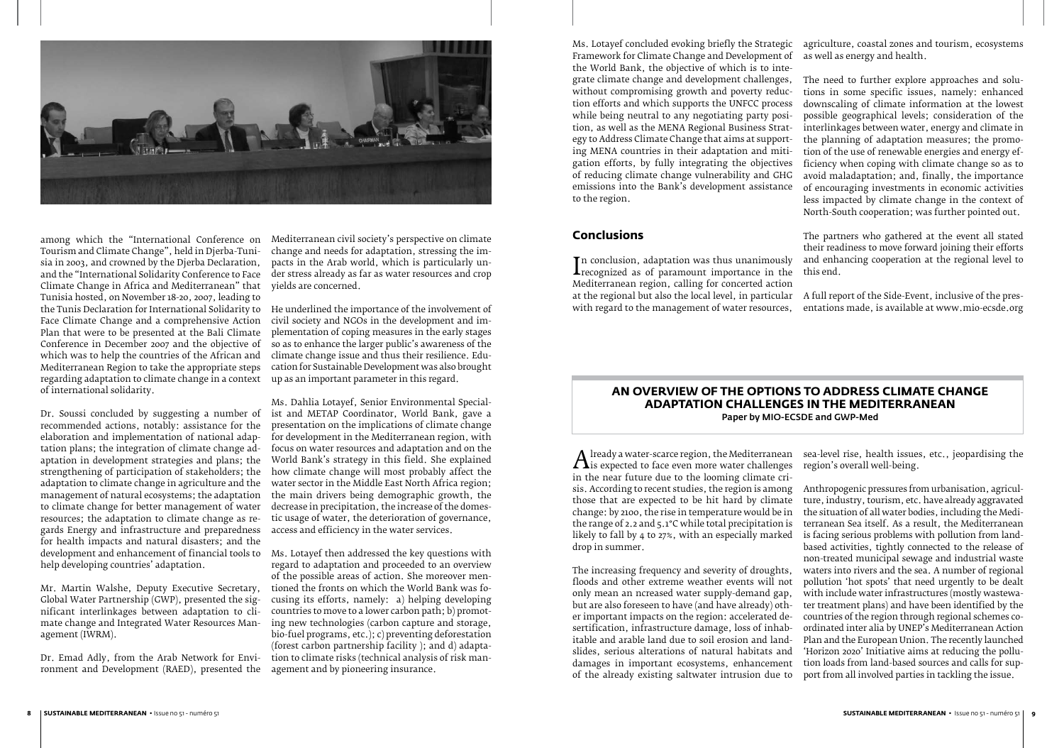#### **Conclusions**

Ms. Lotayef concluded evoking briefly the Strategic agriculture, coastal zones and tourism, ecosystems Framework for Climate Change and Development of the World Bank, the objective of which is to integrate climate change and development challenges, without compromising growth and poverty reduction efforts and which supports the UNFCC process while being neutral to any negotiating party position, as well as the MENA Regional Business Strategy to Address Climate Change that aims at supporting MENA countries in their adaptation and mitigation efforts, by fully integrating the objectives of reducing climate change vulnerability and GHG emissions into the Bank's development assistance to the region. as well as energy and health. The need to further explore approaches and solutions in some specific issues, namely: enhanced downscaling of climate information at the lowest possible geographical levels; consideration of the interlinkages between water, energy and climate in the planning of adaptation measures; the promotion of the use of renewable energies and energy efficiency when coping with climate change so as to avoid maladaptation; and, finally, the importance of encouraging investments in economic activities less impacted by climate change in the context of North-South cooperation; was further pointed out.

 $\frac{1}{M}$ n conclusion, adaptation was thus unanimously recognized as of paramount importance in the Mediterranean region, calling for concerted action at the regional but also the local level, in particular A full report of the Side-Event, inclusive of the preswith regard to the management of water resources, this end. entations made, is available at www.mio-ecsde.org

The partners who gathered at the event all stated their readiness to move forward joining their efforts and enhancing cooperation at the regional level to



among which the "International Conference on Mediterranean civil society's perspective on climate Tourism and Climate Change", held in Djerba-Tunisia in 2003, and crowned by the Djerba Declaration, and the "International Solidarity Conference to Face Climate Change in Africa and Mediterranean" that yields are concerned. Tunisia hosted, on November 18-20, 2007, leading to the Tunis Declaration for International Solidarity to Face Climate Change and a comprehensive Action Plan that were to be presented at the Bali Climate which was to help the countries of the African and Mediterranean Region to take the appropriate steps regarding adaptation to climate change in a context of international solidarity.

Dr. Soussi concluded by suggesting a number of ist and METAP Coordinator, World Bank, gave a recommended actions, notably: assistance for the elaboration and implementation of national adaptation plans; the integration of climate change adaptation in development strategies and plans; the strengthening of participation of stakeholders; the adaptation to climate change in agriculture and the management of natural ecosystems; the adaptation the main drivers being demographic growth, the to climate change for better management of water resources; the adaptation to climate change as regards Energy and infrastructure and preparedness for health impacts and natural disasters; and the help developing countries' adaptation.

Conference in December 2007 and the objective of so as to enhance the larger public's awareness of the He underlined the importance of the involvement of civil society and NGOs in the development and implementation of coping measures in the early stages climate change issue and thus their resilience. Education for Sustainable Development was also brought up as an important parameter in this regard.

Mr. Martin Walshe, Deputy Executive Secretary, Global Water Partnership (GWP), presented the significant interlinkages between adaptation to climate change and Integrated Water Resources Management (IWRM).

 $A$  is expected to face even more water challenges<br>in the near future due to the looming climate criis expected to face even more water challenges in the near future due to the looming climate crisis. According to recent studies, the region is among those that are expected to be hit hard by climate change: by 2100, the rise in temperature would be in the range of 2.2 and 5.1°C while total precipitation is likely to fall by 4 to 27%, with an especially marked drop in summer. The increasing frequency and severity of droughts, floods and other extreme weather events will not only mean an ncreased water supply-demand gap, but are also foreseen to have (and have already) other important impacts on the region: accelerated desertification, infrastructure damage, loss of inhabitable and arable land due to soil erosion and landslides, serious alterations of natural habitats and damages in important ecosystems, enhancement of the already existing saltwater intrusion due to sea-level rise, health issues, etc., jeopardising the region's overall well-being. Anthropogenic pressures from urbanisation, agriculture, industry, tourism, etc. have already aggravated the situation of all water bodies, including the Mediterranean Sea itself. As a result, the Mediterranean is facing serious problems with pollution from landbased activities, tightly connected to the release of non-treated municipal sewage and industrial waste waters into rivers and the sea. A number of regional pollution 'hot spots' that need urgently to be dealt with include water infrastructures (mostly wastewater treatment plans) and have been identified by the countries of the region through regional schemes coordinated inter alia by UNEP's Mediterranean Action Plan and the European Union. The recently launched 'Horizon 2020' Initiative aims at reducing the pollution loads from land-based sources and calls for support from all involved parties in tackling the issue.

change and needs for adaptation, stressing the impacts in the Arab world, which is particularly under stress already as far as water resources and crop

development and enhancement of financial tools to Ms. Lotayef then addressed the key questions with regard to adaptation and proceeded to an overview of the possible areas of action. She moreover mentioned the fronts on which the World Bank was focusing its efforts, namely: a) helping developing countries to move to a lower carbon path; b) promoting new technologies (carbon capture and storage, bio-fuel programs, etc.); c) preventing deforestation (forest carbon partnership facility ); and d) adaptation to climate risks (technical analysis of risk man-

Dr. Emad Adly, from the Arab Network for Environment and Development (RAED), presented the agement and by pioneering insurance.

Ms. Dahlia Lotayef, Senior Environmental Specialpresentation on the implications of climate change for development in the Mediterranean region, with focus on water resources and adaptation and on the World Bank's strategy in this field. She explained how climate change will most probably affect the water sector in the Middle East North Africa region; decrease in precipitation, the increase of the domestic usage of water, the deterioration of governance, access and efficiency in the water services.

#### **AN OVERVIEW OF THE OPTIONS TO ADDRESS CLIMATE CHANGE ADAPTATION CHALLENGES IN THE MEDITERRANEAN** Paper by MIO-ECSDE and GWP-Med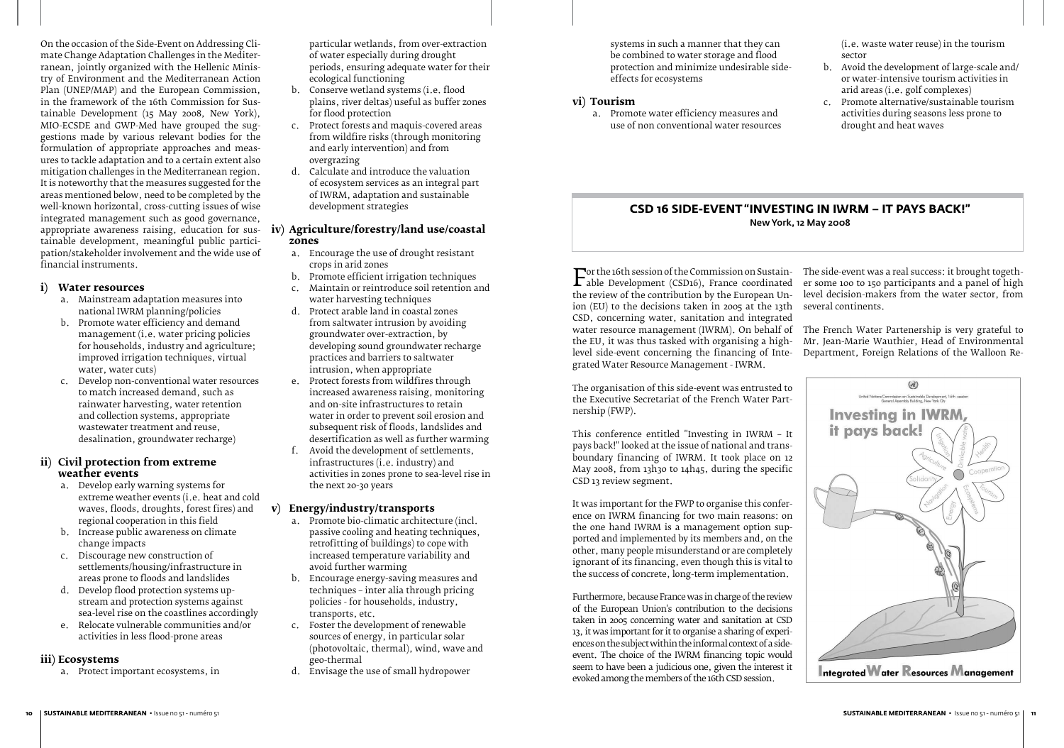systems in such a manner that they can be combined to water storage and flood protection and minimize undesirable sideeffects for ecosystems

#### **vi) Tourism**

a. Promote water efficiency measures and use of non conventional water resources (i.e. waste water reuse) in the tourism sector

- b. Avoid the development of large-scale and/ or water-intensive tourism activities in arid areas (i.e. golf complexes)
- c. Promote alternative/sustainable tourism activities during seasons less prone to drought and heat waves



On the occasion of the Side-Event on Addressing Climate Change Adaptation Challenges in the Mediterranean, jointly organized with the Hellenic Ministry of Environment and the Mediterranean Action Plan (UNEP/MAP) and the European Commission, in the framework of the 16th Commission for Sustainable Development (15 May 2008, New York), MIO-ECSDE and GWP-Med have grouped the suggestions made by various relevant bodies for the formulation of appropriate approaches and measures to tackle adaptation and to a certain extent also mitigation challenges in the Mediterranean region. It is noteworthy that the measures suggested for the areas mentioned below, need to be completed by the well-known horizontal, cross-cutting issues of wise integrated management such as good governance, appropriate awareness raising, education for sus-**iv) Agriculture/forestry/land use/coastal**  tainable development, meaningful public participation/stakeholder involvement and the wide use of financial instruments.

#### **i) Water resources**

- a. Mainstream adaptation measures into national IWRM planning/policies
- b. Promote water efficiency and demand management (i.e. water pricing policies for households, industry and agriculture; improved irrigation techniques, virtual water, water cuts)
- c. Develop non-conventional water resources to match increased demand, such as rainwater harvesting, water retention and collection systems, appropriate wastewater treatment and reuse, desalination, groundwater recharge)

#### **ii) Civil protection from extreme weather events**

- a. Develop early warning systems for extreme weather events (i.e. heat and cold waves, floods, droughts, forest fires) and regional cooperation in this field
- b. Increase public awareness on climate change impacts
- c. Discourage new construction of settlements/housing/infrastructure in areas prone to floods and landslides
- d. Develop flood protection systems upstream and protection systems against sea-level rise on the coastlines accordingly
- e. Relocate vulnerable communities and/or activities in less flood-prone areas

#### **iii) Ecosystems**

a. Protect important ecosystems, in

particular wetlands, from over-extraction of water especially during drought periods, ensuring adequate water for their ecological functioning

- b. Conserve wetland systems (i.e. flood plains, river deltas) useful as buffer zones for flood protection
- c. Protect forests and maquis-covered areas from wildfire risks (through monitoring and early intervention) and from overgrazing
- d. Calculate and introduce the valuation of ecosystem services as an integral part of IWRM, adaptation and sustainable development strategies

For the 16th session of the Commission on Sustann-<br>able Development (CSD16), France coordinated<br>the review of the contribution by the European Unable Development (CSD16), France coordinated the review of the contribution by the European Union (EU) to the decisions taken in 2005 at the 13th CSD, concerning water, sanitation and integrated water resource management (IWRM). On behalf of the French Water Partenership is very grateful to the EU, it was thus tasked with organising a highlevel side-event concerning the financing of Integrated Water Resource Management - IWRM.  $\Gamma$  or the 16th session of the Commission on Sustain- The side-event was a real success: it brought together some 100 to 150 participants and a panel of high level decision-makers from the water sector, from several continents. Mr. Jean-Marie Wauthier, Head of Environmental Department, Foreign Relations of the Walloon Re-

# **zones**

- a. Encourage the use of drought resistant crops in arid zones
- b. Promote efficient irrigation techniques<br>c. Maintain or reintroduce soil retention a
- c. Maintain or reintroduce soil retention and water harvesting techniques
- d. Protect arable land in coastal zones from saltwater intrusion by avoiding groundwater over-extraction, by developing sound groundwater recharge practices and barriers to saltwater intrusion, when appropriate
- e. Protect forests from wildfires through increased awareness raising, monitoring and on-site infrastructures to retain water in order to prevent soil erosion and subsequent risk of floods, landslides and desertification as well as further warming
- f. Avoid the development of settlements, infrastructures (i.e. industry) and activities in zones prone to sea-level rise in the next 20-30 years

#### **v) Energy/industry/transports**

- a. Promote bio-climatic architecture (incl. passive cooling and heating techniques, retrofitting of buildings) to cope with increased temperature variability and avoid further warming
- b. Encourage energy-saving measures and techniques – inter alia through pricing policies - for households, industry, transports, etc.
- c. Foster the development of renewable sources of energy, in particular solar (photovoltaic, thermal), wind, wave and geo-thermal
- d. Envisage the use of small hydropower

The organisation of this side-event was entrusted to the Executive Secretariat of the French Water Partnership (FWP).

This conference entitled "Investing in IWRM – It pays back!" looked at the issue of national and transboundary financing of IWRM. It took place on 12 May 2008, from 13h30 to 14h45, during the specific CSD 13 review segment.

It was important for the FWP to organise this conference on IWRM financing for two main reasons: on the one hand IWRM is a management option supported and implemented by its members and, on the other, many people misunderstand or are completely ignorant of its financing, even though this is vital to the success of concrete, long-term implementation.

Furthermore, because France was in charge of the review of the European Union's contribution to the decisions taken in 2005 concerning water and sanitation at CSD 13, it was important for it to organise a sharing of experiences on the subject within the informal context of a sideevent. The choice of the IWRM financing topic would seem to have been a judicious one, given the interest it evoked among the members of the 16th CSD session.

## **CSD 16 SIDE-EVENT "INVESTING IN IWRM – IT PAYS BACK!"** New York, 12 May 2008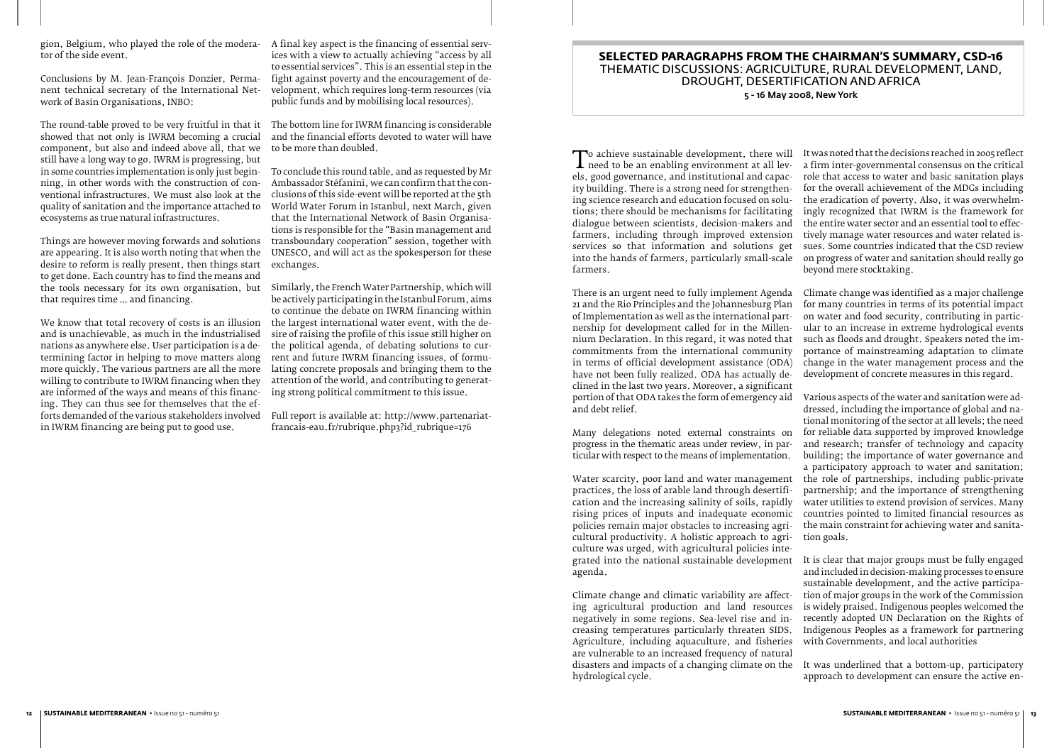To achieve sustainable development, there will<br>need to be an enabling environment at all lev-<br>els, good governance, and institutional and capacneed to be an enabling environment at all levels, good governance, and institutional and capacity building. There is a strong need for strengthening science research and education focused on solutions; there should be mechanisms for facilitating dialogue between scientists, decision-makers and farmers, including through improved extension services so that information and solutions get into the hands of farmers, particularly small-scale farmers. It was noted that the decisions reached in 2005 reflect a firm inter-governmental consensus on the critical role that access to water and basic sanitation plays for the overall achievement of the MDGs including the eradication of poverty. Also, it was overwhelmingly recognized that IWRM is the framework for the entire water sector and an essential tool to effectively manage water resources and water related issues. Some countries indicated that the CSD review on progress of water and sanitation should really go beyond mere stocktaking.

practices, the loss of arable land through desertification and the increasing salinity of soils, rapidly rising prices of inputs and inadequate economic policies remain major obstacles to increasing agricultural productivity. A holistic approach to agriculture was urged, with agricultural policies integrated into the national sustainable development agenda.

There is an urgent need to fully implement Agenda 21 and the Rio Principles and the Johannesburg Plan of Implementation as well as the international partnership for development called for in the Millennium Declaration. In this regard, it was noted that commitments from the international community in terms of official development assistance (ODA) have not been fully realized. ODA has actually declined in the last two years. Moreover, a significant portion of that ODA takes the form of emergency aid and debt relief. Climate change was identified as a major challenge for many countries in terms of its potential impact on water and food security, contributing in particular to an increase in extreme hydrological events such as floods and drought. Speakers noted the importance of mainstreaming adaptation to climate change in the water management process and the development of concrete measures in this regard. Various aspects of the water and sanitation were addressed, including the importance of global and na-

Many delegations noted external constraints on progress in the thematic areas under review, in particular with respect to the means of implementation. Water scarcity, poor land and water management tional monitoring of the sector at all levels; the need for reliable data supported by improved knowledge and research; transfer of technology and capacity building; the importance of water governance and a participatory approach to water and sanitation; the role of partnerships, including public-private partnership; and the importance of strengthening water utilities to extend provision of services. Many countries pointed to limited financial resources as the main constraint for achieving water and sanitation goals.

Climate change and climatic variability are affecting agricultural production and land resources negatively in some regions. Sea-level rise and increasing temperatures particularly threaten SIDS. Agriculture, including aquaculture, and fisheries are vulnerable to an increased frequency of natural disasters and impacts of a changing climate on the hydrological cycle. is widely praised. Indigenous peoples welcomed the recently adopted UN Declaration on the Rights of Indigenous Peoples as a framework for partnering with Governments, and local authorities It was underlined that a bottom-up, participatory approach to development can ensure the active en-

It is clear that major groups must be fully engaged and included in decision-making processes to ensure sustainable development, and the active participation of major groups in the work of the Commission

tor of the side event.

Conclusions by M. Jean-François Donzier, Permanent technical secretary of the International Network of Basin Organisations, INBO:

The round-table proved to be very fruitful in that it The bottom line for IWRM financing is considerable showed that not only is IWRM becoming a crucial component, but also and indeed above all, that we still have a long way to go. IWRM is progressing, but in some countries implementation is only just beginning, in other words with the construction of conventional infrastructures. We must also look at the quality of sanitation and the importance attached to ecosystems as true natural infrastructures.

Things are however moving forwards and solutions are appearing. It is also worth noting that when the desire to reform is really present, then things start to get done. Each country has to find the means and the tools necessary for its own organisation, but Similarly, the French Water Partnership, which will that requires time … and financing.

gion, Belgium, who played the role of the modera-A final key aspect is the financing of essential services with a view to actually achieving "access by all to essential services". This is an essential step in the fight against poverty and the encouragement of development, which requires long-term resources (via public funds and by mobilising local resources).

We know that total recovery of costs is an illusion and is unachievable, as much in the industrialised nations as anywhere else. User participation is a determining factor in helping to move matters along more quickly. The various partners are all the more willing to contribute to IWRM financing when they are informed of the ways and means of this financing. They can thus see for themselves that the efforts demanded of the various stakeholders involved in IWRM financing are being put to good use.

and the financial efforts devoted to water will have to be more than doubled.

To conclude this round table, and as requested by Mr Ambassador Stéfanini, we can confirm that the conclusions of this side-event will be reported at the 5th World Water Forum in Istanbul, next March, given that the International Network of Basin Organisations is responsible for the "Basin management and transboundary cooperation" session, together with UNESCO, and will act as the spokesperson for these exchanges.

be actively participating in the Istanbul Forum, aims to continue the debate on IWRM financing within the largest international water event, with the desire of raising the profile of this issue still higher on the political agenda, of debating solutions to current and future IWRM financing issues, of formulating concrete proposals and bringing them to the attention of the world, and contributing to generating strong political commitment to this issue.

Full report is available at: http://www.partenariatfrancais-eau.fr/rubrique.php3?id\_rubrique=176

## **SELECTED PARAGRAPHS FROM THE CHAIRMAN'S SUMMARY, CSD-16** THEMATIC DISCUSSIONS: AGRICULTURE, RURAL DEVELOPMENT, LAND, DROUGHT, DESERTIFICATION AND AFRICA 5 - 16 May 2008, New York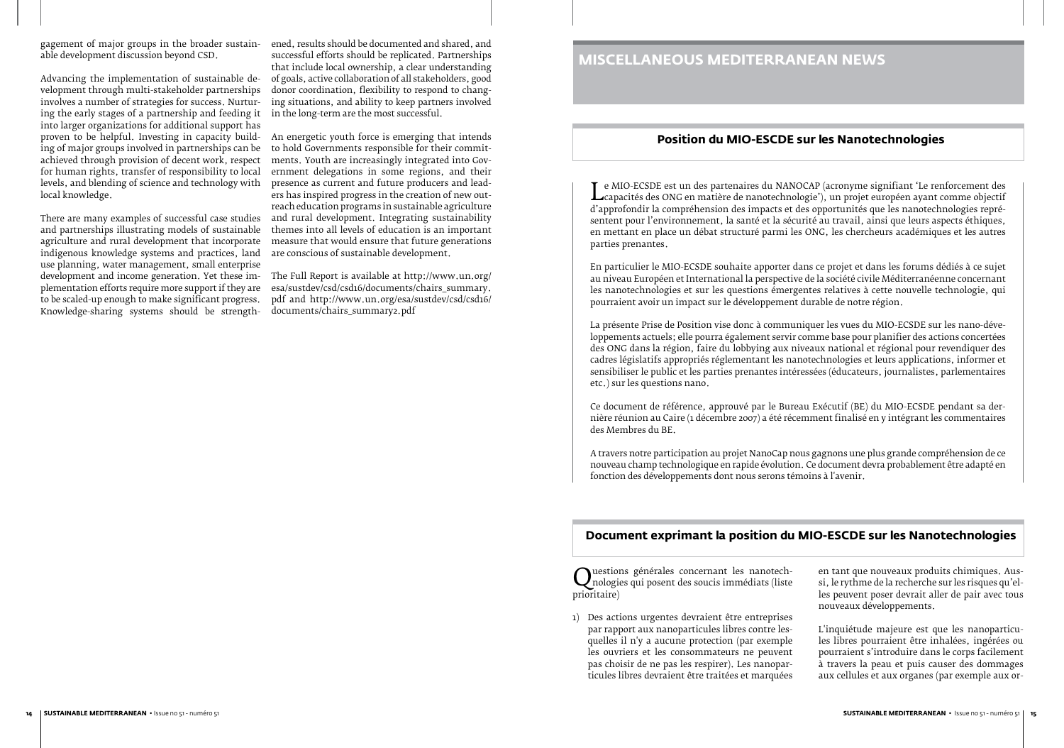Le MIO-ECSDE est un des partenaires du NANOCAP (acronyme signifiant 'Le renforcement des d'approfondir la compréhension des impacts et des opportunités que les nanotechnologies repré-L capacités des ONG en matière de nanotechnologie'), un projet européen ayant comme objectif sentent pour l'environnement, la santé et la sécurité au travail, ainsi que leurs aspects éthiques, en mettant en place un débat structuré parmi les ONG, les chercheurs académiques et les autres parties prenantes.

En particulier le MIO-ECSDE souhaite apporter dans ce projet et dans les forums dédiés à ce sujet au niveau Européen et International la perspective de la société civile Méditerranéenne concernant les nanotechnologies et sur les questions émergentes relatives à cette nouvelle technologie, qui pourraient avoir un impact sur le développement durable de notre région.

La présente Prise de Position vise donc à communiquer les vues du MIO-ECSDE sur les nano-développements actuels; elle pourra également servir comme base pour planifier des actions concertées des ONG dans la région, faire du lobbying aux niveaux national et régional pour revendiquer des cadres législatifs appropriés réglementant les nanotechnologies et leurs applications, informer et sensibiliser le public et les parties prenantes intéressées (éducateurs, journalistes, parlementaires etc.) sur les questions nano.

Ce document de référence, approuvé par le Bureau Exécutif (BE) du MIO-ECSDE pendant sa dernière réunion au Caire (1 décembre 2007) a été récemment finalisé en y intégrant les commentaires des Membres du BE.

A travers notre participation au projet NanoCap nous gagnons une plus grande compréhension de ce nouveau champ technologique en rapide évolution. Ce document devra probablement être adapté en fonction des développements dont nous serons témoins à l'avenir.

gagement of major groups in the broader sustainable development discussion beyond CSD.

> Questions générales concernant les nanotech-<br>prioritaire)<br>prioritaire) nologies qui posent des soucis immédiats (liste prioritaire)

Advancing the implementation of sustainable development through multi-stakeholder partnerships involves a number of strategies for success. Nurturing the early stages of a partnership and feeding it into larger organizations for additional support has proven to be helpful. Investing in capacity building of major groups involved in partnerships can be achieved through provision of decent work, respect for human rights, transfer of responsibility to local levels, and blending of science and technology with local knowledge.

There are many examples of successful case studies and partnerships illustrating models of sustainable agriculture and rural development that incorporate indigenous knowledge systems and practices, land use planning, water management, small enterprise development and income generation. Yet these implementation efforts require more support if they are to be scaled-up enough to make significant progress. Knowledge-sharing systems should be strength-

ened, results should be documented and shared, and successful efforts should be replicated. Partnerships that include local ownership, a clear understanding of goals, active collaboration of all stakeholders, good donor coordination, flexibility to respond to changing situations, and ability to keep partners involved in the long-term are the most successful.

An energetic youth force is emerging that intends to hold Governments responsible for their commitments. Youth are increasingly integrated into Government delegations in some regions, and their presence as current and future producers and leaders has inspired progress in the creation of new outreach education programs in sustainable agriculture and rural development. Integrating sustainability themes into all levels of education is an important measure that would ensure that future generations are conscious of sustainable development.

The Full Report is available at http://www.un.org/ esa/sustdev/csd/csd16/documents/chairs\_summary. pdf and http://www.un.org/esa/sustdev/csd/csd16/ documents/chairs\_summary2.pdf

# **MISCELLANEOUS MEDITERRANEAN NEWS**

## **Position du MIO-ESCDE sur les Nanotechnologies**

1) Des actions urgentes devraient être entreprises par rapport aux nanoparticules libres contre lesquelles il n'y a aucune protection (par exemple les ouvriers et les consommateurs ne peuvent pas choisir de ne pas les respirer). Les nanoparticules libres devraient être traitées et marquées en tant que nouveaux produits chimiques. Aussi, le rythme de la recherche sur les risques qu'elles peuvent poser devrait aller de pair avec tous nouveaux développements.

L'inquiétude majeure est que les nanoparticules libres pourraient être inhalées, ingérées ou pourraient s'introduire dans le corps facilement à travers la peau et puis causer des dommages aux cellules et aux organes (par exemple aux or-

### **Document exprimant la position du MIO-ESCDE sur les Nanotechnologies**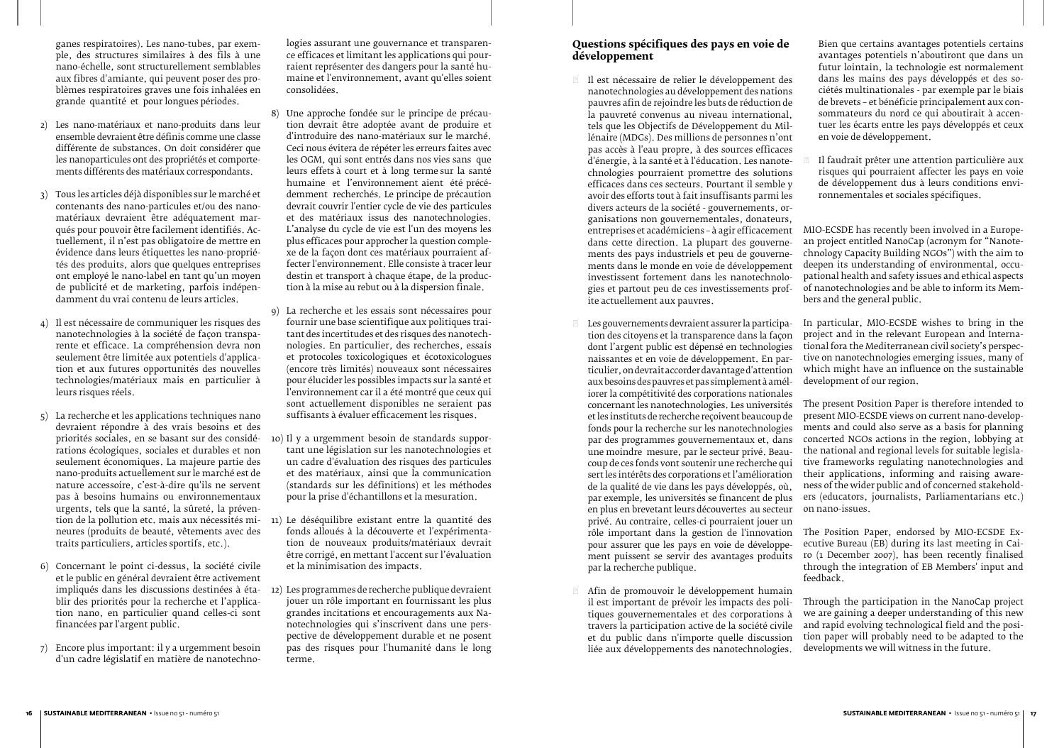#### **Questions spécifiques des pays en voie de développement**

Il est nécessaire de relier le développement des nanotechnologies au développement des nations pauvres afin de rejoindre les buts de réduction de la pauvreté convenus au niveau international, tels que les Objectifs de Développement du Millénaire (MDGs). Des millions de personnes n'ont pas accès à l'eau propre, à des sources efficaces d'énergie, à la santé et à l'éducation. Les nanotechnologies pourraient promettre des solutions efficaces dans ces secteurs. Pourtant il semble y avoir des efforts tout à fait insuffisants parmi les divers acteurs de la société - gouvernements, organisations non gouvernementales, donateurs, entreprises et académiciens – à agir efficacement dans cette direction. La plupart des gouvernements des pays industriels et peu de gouvernements dans le monde en voie de développement investissent fortement dans les nanotechnologies et partout peu de ces investissements profite actuellement aux pauvres. de brevets – et bénéficie principalement aux consommateurs du nord ce qui aboutirait à accenen voie de développement. Il faudrait prêter une attention particulière aux risques qui pourraient affecter les pays en voie de développement dus à leurs conditions environnementales et sociales spécifiques. MIO-ECSDE has recently been involved in a European project entitled NanoCap (acronym for "Nanotechnology Capacity Building NGOs") with the aim to deepen its understanding of environmental, occupational health and safety issues and ethical aspects of nanotechnologies and be able to inform its Members and the general public.

Bien que certains avantages potentiels certains avantages potentiels n'aboutiront que dans un futur lointain, la technologie est normalement dans les mains des pays développés et des sociétés multinationales - par exemple par le biais tuer les écarts entre les pays développés et ceux

Les gouvernements devraient assurer la participation des citoyens et la transparence dans la façon dont l'argent public est dépensé en technologies naissantes et en voie de développement. En particulier, on devrait accorder davantage d'attention aux besoins des pauvres et pas simplement à améliorer la compétitivité des corporations nationales concernant les nanotechnologies. Les universités et les instituts de recherche reçoivent beaucoup de fonds pour la recherche sur les nanotechnologies par des programmes gouvernementaux et, dans une moindre mesure, par le secteur privé. Beaucoup de ces fonds vont soutenir une recherche qui sert les intérêts des corporations et l'amélioration de la qualité de vie dans les pays développés, où, par exemple, les universités se financent de plus en plus en brevetant leurs découvertes au secteur privé. Au contraire, celles-ci pourraient jouer un rôle important dans la gestion de l'innovation pour assurer que les pays en voie de développement puissent se servir des avantages produits par la recherche publique. In particular, MIO-ECSDE wishes to bring in the project and in the relevant European and International fora the Mediterranean civil society's perspective on nanotechnologies emerging issues, many of which might have an influence on the sustainable development of our region. The present Position Paper is therefore intended to present MIO-ECSDE views on current nano-developments and could also serve as a basis for planning concerted NGOs actions in the region, lobbying at the national and regional levels for suitable legislative frameworks regulating nanotechnologies and their applications, informing and raising awareness of the wider public and of concerned stakeholders (educators, journalists, Parliamentarians etc.) on nano-issues. The Position Paper, endorsed by MIO-ECSDE Executive Bureau (EB) during its last meeting in Cairo (1 December 2007), has been recently finalised through the integration of EB Members' input and feedback.

Afin de promouvoir le développement humain il est important de prévoir les impacts des politiques gouvernementales et des corporations à travers la participation active de la société civile et du public dans n'importe quelle discussion liée aux développements des nanotechnologies. Through the participation in the NanoCap project we are gaining a deeper understanding of this new and rapid evolving technological field and the position paper will probably need to be adapted to the developments we will witness in the future.

ganes respiratoires). Les nano-tubes, par exemple, des structures similaires à des fils à une nano-échelle, sont structurellement semblables aux fibres d'amiante, qui peuvent poser des problèmes respiratoires graves une fois inhalées en grande quantité et pour longues périodes.

- 2) Les nano-matériaux et nano-produits dans leur ensemble devraient être définis comme une classe différente de substances. On doit considérer que les nanoparticules ont des propriétés et comportements différents des matériaux correspondants.
- 3) Tous les articles déjà disponibles sur le marché et contenants des nano-particules et/ou des nanomatériaux devraient être adéquatement marqués pour pouvoir être facilement identifiés. Actuellement, il n'est pas obligatoire de mettre en évidence dans leurs étiquettes les nano-propriétés des produits, alors que quelques entreprises ont employé le nano-label en tant qu'un moyen de publicité et de marketing, parfois indépendamment du vrai contenu de leurs articles.
- 4) Il est nécessaire de communiquer les risques des nanotechnologies à la société de façon transparente et efficace. La compréhension devra non seulement être limitée aux potentiels d'application et aux futures opportunités des nouvelles technologies/matériaux mais en particulier à leurs risques réels.
- 5) La recherche et les applications techniques nano devraient répondre à des vrais besoins et des rations écologiques, sociales et durables et non seulement économiques. La majeure partie des nano-produits actuellement sur le marché est de nature accessoire, c'est-à-dire qu'ils ne servent pas à besoins humains ou environnementaux urgents, tels que la santé, la sûreté, la prévenneures (produits de beauté, vêtements avec des traits particuliers, articles sportifs, etc.).
- 6) Concernant le point ci-dessus, la société civile et le public en général devraient être activement blir des priorités pour la recherche et l'application nano, en particulier quand celles-ci sont financées par l'argent public.
- 7) Encore plus important: il y a urgemment besoin d'un cadre législatif en matière de nanotechno-

logies assurant une gouvernance et transparence efficaces et limitant les applications qui pourraient représenter des dangers pour la santé humaine et l'environnement, avant qu'elles soient consolidées.

- 8) Une approche fondée sur le principe de précaution devrait être adoptée avant de produire et d'introduire des nano-matériaux sur le marché. Ceci nous évitera de répéter les erreurs faites avec les OGM, qui sont entrés dans nos vies sans que leurs effets à court et à long terme sur la santé humaine et l'environnement aient été précédemment recherchés. Le principe de précaution devrait couvrir l'entier cycle de vie des particules et des matériaux issus des nanotechnologies. L'analyse du cycle de vie est l'un des moyens les plus efficaces pour approcher la question complexe de la façon dont ces matériaux pourraient affecter l'environnement. Elle consiste à tracer leur destin et transport à chaque étape, de la production à la mise au rebut ou à la dispersion finale.
- 9) La recherche et les essais sont nécessaires pour fournir une base scientifique aux politiques traitant des incertitudes et des risques des nanotechnologies. En particulier, des recherches, essais et protocoles toxicologiques et écotoxicologues (encore très limités) nouveaux sont nécessaires pour élucider les possibles impacts sur la santé et l'environnement car il a été montré que ceux qui sont actuellement disponibles ne seraient pas suffisants à évaluer efficacement les risques.
- priorités sociales, en se basant sur des considé-10) Il y a urgemment besoin de standards supportant une législation sur les nanotechnologies et un cadre d'évaluation des risques des particules et des matériaux, ainsi que la communication (standards sur les définitions) et les méthodes pour la prise d'échantillons et la mesuration.
- tion de la pollution etc. mais aux nécessités mi-11) Le déséquilibre existant entre la quantité des fonds alloués à la découverte et l'expérimentation de nouveaux produits/matériaux devrait être corrigé, en mettant l'accent sur l'évaluation et la minimisation des impacts.
- impliqués dans les discussions destinées à éta-12) Les programmes de recherche publique devraient jouer un rôle important en fournissant les plus grandes incitations et encouragements aux Nanotechnologies qui s'inscrivent dans une perspective de développement durable et ne posent pas des risques pour l'humanité dans le long terme.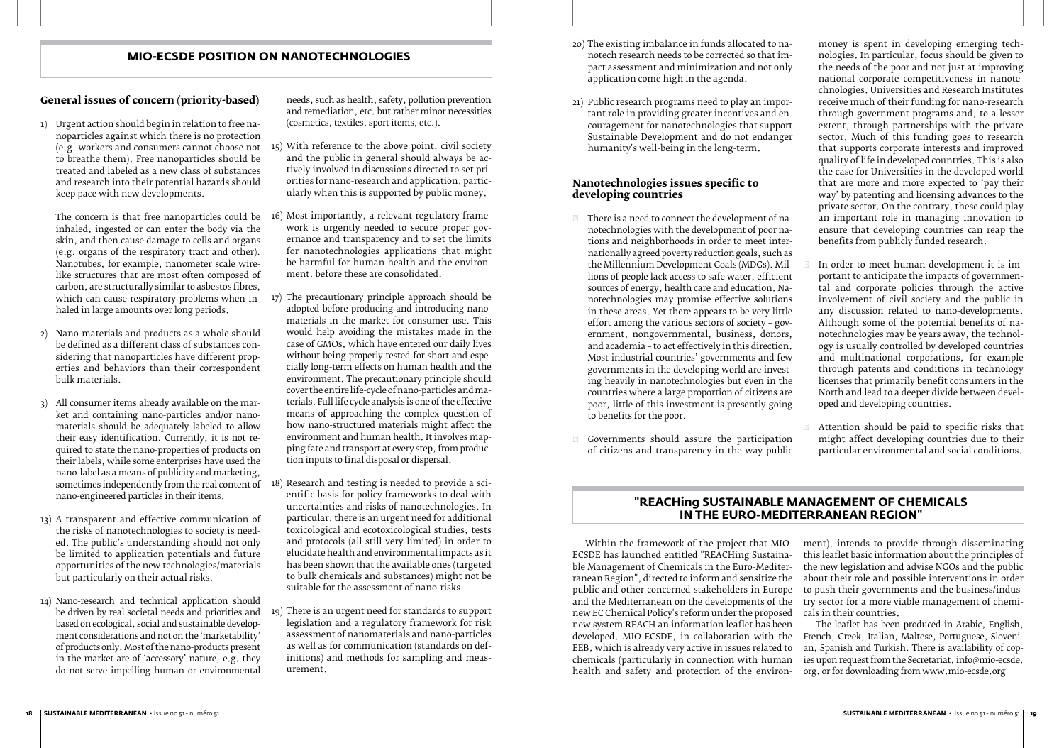- 20) The existing imbalance in funds allocated to nanotech research needs to be corrected so that impact assessment and minimization and not only application come high in the agenda.
- 21) Public research programs need to play an important role in providing greater incentives and encouragement for nanotechnologies that support Sustainable Development and do not endanger humanity's well-being in the long-term.

#### **Nanotechnologies issues specific to developing countries**

There is a need to connect the development of nanotechnologies with the development of poor nations and neighborhoods in order to meet internationally agreed poverty reduction goals, such as the Millennium Development Goals (MDGs). Millions of people lack access to safe water, efficient sources of energy, health care and education. Nanotechnologies may promise effective solutions in these areas. Yet there appears to be very little effort among the various sectors of society – government, nongovernmental, business, donors, and academia – to act effectively in this direction. Most industrial countries' governments and few governments in the developing world are investing heavily in nanotechnologies but even in the countries where a large proportion of citizens are poor, little of this investment is presently going to benefits for the poor.

Governments should assure the participation of citizens and transparency in the way public

1) Urgent action should begin in relation to free na-<br>noparticles against which there is no protection noparticles against which there is no protection to breathe them). Free nanoparticles should be treated and labeled as a new class of substances and research into their potential hazards should keep pace with new developments.

money is spent in developing emerging technologies. In particular, focus should be given to the needs of the poor and not just at improving national corporate competitiveness in nanotechnologies. Universities and Research Institutes receive much of their funding for nano-research through government programs and, to a lesser extent, through partnerships with the private sector. Much of this funding goes to research that supports corporate interests and improved quality of life in developed countries. This is also the case for Universities in the developed world that are more and more expected to  $i$  pay their way' by patenting and licensing advances to the private sector. On the contrary, these could play an important role in managing innovation to ensure that developing countries can reap the benefits from publicly funded research.

In order to meet human development it is important to anticipate the impacts of governmental and corporate policies through the active involvement of civil society and the public in any discussion related to nano-developments. Although some of the potential benefits of nanotechnologies may be years away, the technology is usually controlled by developed countries and multinational corporations, for example through patents and conditions in technology licenses that primarily benefit consumers in the North and lead to a deeper divide between developed and developing countries.

Attention should be paid to specific risks that might affect developing countries due to their particular environmental and social conditions.

#### **General issues of concern (priority-based)**

The concern is that free nanoparticles could be inhaled, ingested or can enter the body via the skin, and then cause damage to cells and organs (e.g. organs of the respiratory tract and other). Nanotubes, for example, nanometer scale wirelike structures that are most often composed of carbon, are structurally similar to asbestos fibres, which can cause respiratory problems when inhaled in large amounts over long periods.

- 2) Nano-materials and products as a whole should be defined as a different class of substances considering that nanoparticles have different properties and behaviors than their correspondent bulk materials.
- All consumer items already available on the market and containing nano-particles and/or nanomaterials should be adequately labeled to allow their easy identification. Currently, it is not required to state the nano-properties of products on their labels, while some enterprises have used the nano-label as a means of publicity and marketing, nano-engineered particles in their items.
- 13) A transparent and effective communication of the risks of nanotechnologies to society is needed. The public's understanding should not only be limited to application potentials and future opportunities of the new technologies/materials but particularly on their actual risks.
- 14) Nano-research and technical application should be driven by real societal needs and priorities and based on ecological, social and sustainable development considerations and not on the 'marketability' of products only. Most of the nano-products present in the market are of 'accessory' nature, e.g. they do not serve impelling human or environmental

needs, such as health, safety, pollution prevention and remediation, etc. but rather minor necessities (cosmetics, textiles, sport items, etc.).

- (e.g. workers and consumers cannot choose not 15) With reference to the above point, civil society and the public in general should always be actively involved in discussions directed to set priorities for nano-research and application, particularly when this is supported by public money.
	- 16) Most importantly, a relevant regulatory framework is urgently needed to secure proper governance and transparency and to set the limits for nanotechnologies applications that might be harmful for human health and the environment, before these are consolidated.
	- 17) The precautionary principle approach should be adopted before producing and introducing nanomaterials in the market for consumer use. This would help avoiding the mistakes made in the case of GMOs, which have entered our daily lives without being properly tested for short and especially long-term effects on human health and the environment. The precautionary principle should cover the entire life-cycle of nano-particles and materials. Full life cycle analysis is one of the effective means of approaching the complex question of how nano-structured materials might affect the environment and human health. It involves mapping fate and transport at every step, from production inputs to final disposal or dispersal.
- sometimes independently from the real content of  $\left(18\right)$  Research and testing is needed to provide a scientific basis for policy frameworks to deal with uncertainties and risks of nanotechnologies. In particular, there is an urgent need for additional toxicological and ecotoxicological studies, tests and protocols (all still very limited) in order to elucidate health and environmental impacts as it has been shown that the available ones (targeted to bulk chemicals and substances) might not be suitable for the assessment of nano-risks.
	- 19) There is an urgent need for standards to support legislation and a regulatory framework for risk assessment of nanomaterials and nano-particles as well as for communication (standards on definitions) and methods for sampling and measurement.

### **MIO-ECSDE POSITION ON NANOTECHNOLOGIES**

Within the framework of the project that MIO-ECSDE has launched entitled "REACHing Sustainable Management of Chemicals in the Euro-Mediterranean Region", directed to inform and sensitize the public and other concerned stakeholders in Europe and the Mediterranean on the developments of the new EC Chemical Policy's reform under the proposed new system REACH an information leaflet has been developed. MIO-ECSDE, in collaboration with the EEB, which is already very active in issues related to chemicals (particularly in connection with human health and safety and protection of the environment), intends to provide through disseminating this leaflet basic information about the principles of the new legislation and advise NGOs and the public about their role and possible interventions in order to push their governments and the business/industry sector for a more viable management of chemicals in their countries. The leaflet has been produced in Arabic, English, French, Greek, Italian, Maltese, Portuguese, Slovenian, Spanish and Turkish. There is availability of copies upon request from the Secretariat, info@mio-ecsde. org. or for downloading from www.mio-ecsde.org

### **"REACHing SUSTAINABLE MANAGEMENT OF CHEMICALS IN THE EURO-MEDITERRANEAN REGION"**